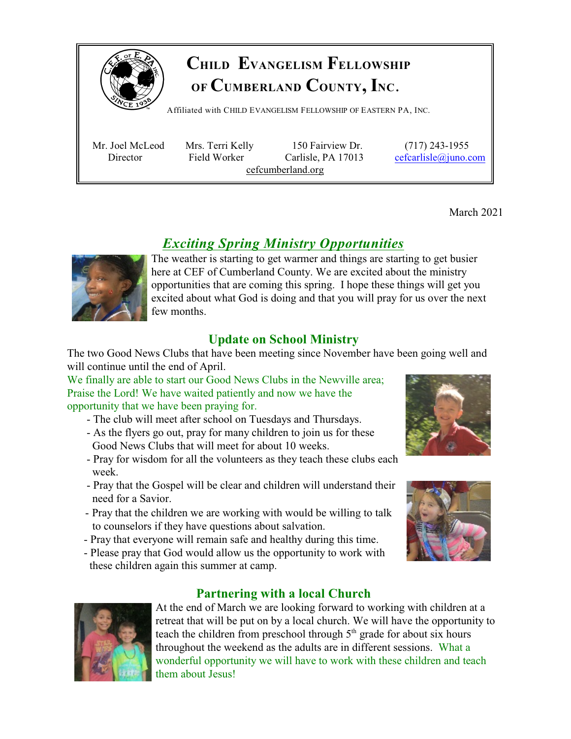

# **CHILD EVANGELISM FELLOWSHIP OF CUMBERLAND COUNTY, INC**.

Affiliated with <sup>C</sup>HILD <sup>E</sup>VANGELISM <sup>F</sup>ELLOWSHIP OF <sup>E</sup>ASTERN PA, <sup>I</sup>NC.

 Mr. Joel McLeod Mrs. Terri Kelly 150 Fairview Dr. (717) 243-1955 Director Field Worker Carlisle, PA 17013 [cefcarlisle@juno.com](mailto:cefcarlisle@juno.com) cefcumberland.org

March 2021

# *Exciting Spring Ministry Opportunities*



The weather is starting to get warmer and things are starting to get busier here at CEF of Cumberland County. We are excited about the ministry opportunities that are coming this spring. I hope these things will get you excited about what God is doing and that you will pray for us over the next few months.

## **Update on School Ministry**

The two Good News Clubs that have been meeting since November have been going well and will continue until the end of April.

We finally are able to start our Good News Clubs in the Newville area; Praise the Lord! We have waited patiently and now we have the opportunity that we have been praying for.

- The club will meet after school on Tuesdays and Thursdays.
- As the flyers go out, pray for many children to join us for these Good News Clubs that will meet for about 10 weeks.
- Pray for wisdom for all the volunteers as they teach these clubs each week.
- Pray that the Gospel will be clear and children will understand their need for a Savior.
- Pray that the children we are working with would be willing to talk to counselors if they have questions about salvation.
- Pray that everyone will remain safe and healthy during this time.
- Please pray that God would allow us the opportunity to work with these children again this summer at camp.

## **Partnering with a local Church**



At the end of March we are looking forward to working with children at a retreat that will be put on by a local church. We will have the opportunity to teach the children from preschool through  $5<sup>th</sup>$  grade for about six hours throughout the weekend as the adults are in different sessions. What a wonderful opportunity we will have to work with these children and teach them about Jesus!